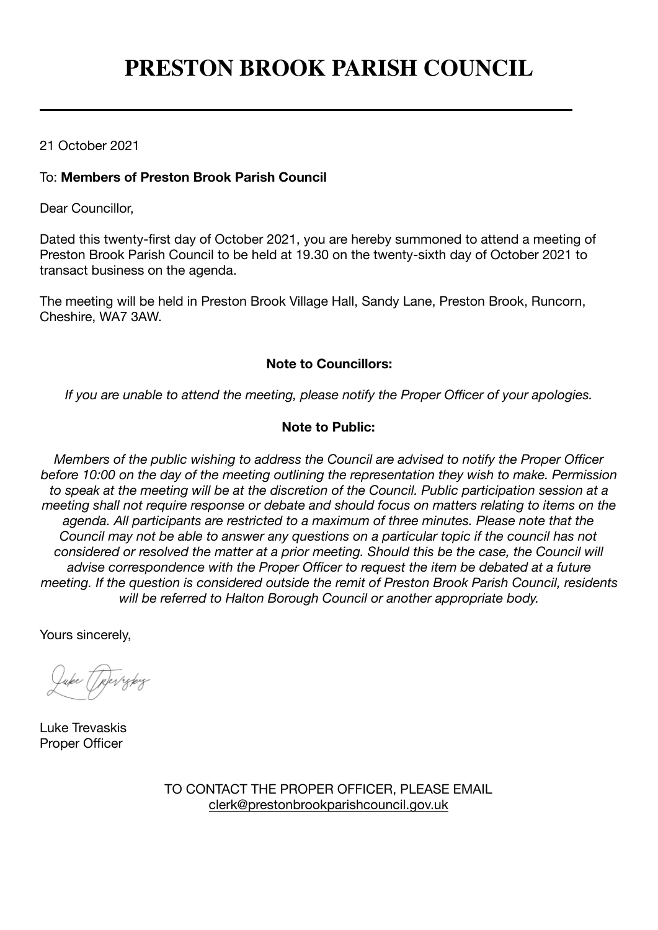# **PRESTON BROOK PARISH COUNCIL**

## 21 October 2021

### To: **Members of Preston Brook Parish Council**

Dear Councillor,

Dated this twenty-first day of October 2021, you are hereby summoned to attend a meeting of Preston Brook Parish Council to be held at 19.30 on the twenty-sixth day of October 2021 to transact business on the agenda.

The meeting will be held in Preston Brook Village Hall, Sandy Lane, Preston Brook, Runcorn, Cheshire, WA7 3AW.

#### **Note to Councillors:**

*If you are unable to attend the meeting, please notify the Proper Officer of your apologies.*

#### **Note to Public:**

*Members of the public wishing to address the Council are advised to notify the Proper Officer before 10:00 on the day of the meeting outlining the representation they wish to make. Permission*  to speak at the meeting will be at the discretion of the Council. Public participation session at a *meeting shall not require response or debate and should focus on matters relating to items on the agenda. All participants are restricted to a maximum of three minutes. Please note that the Council may not be able to answer any questions on a particular topic if the council has not considered or resolved the matter at a prior meeting. Should this be the case, the Council will advise correspondence with the Proper Officer to request the item be debated at a future meeting. If the question is considered outside the remit of Preston Brook Parish Council, residents will be referred to Halton Borough Council or another appropriate body.*

Yours sincerely,

uke Tjerrekiz

Luke Trevaskis Proper Officer

TO CONTACT THE PROPER OFFICER, PLEASE EMAIL [clerk@prestonbrookparishcouncil.gov.uk](mailto:clerk@prestonbrookparishcouncil.gov.uk)